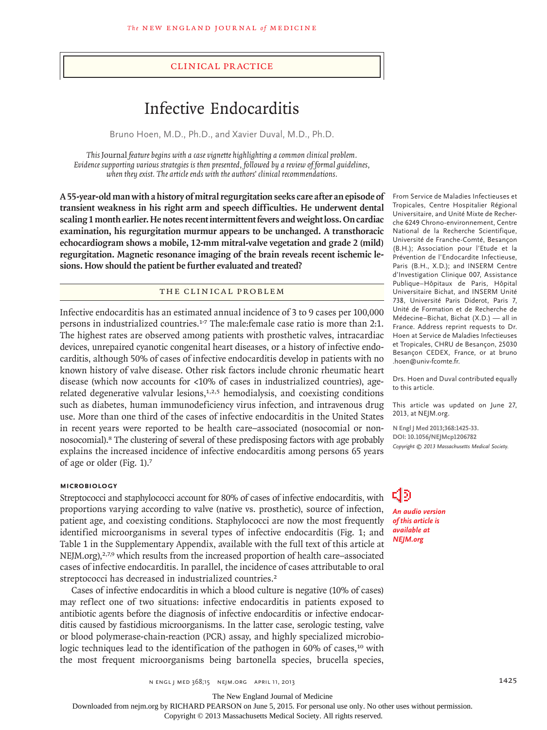## clinical practice

# Infective Endocarditis

Bruno Hoen, M.D., Ph.D., and Xavier Duval, M.D., Ph.D.

*This* Journal *feature begins with a case vignette highlighting a common clinical problem. Evidence supporting various strategies is then presented, followed by a review of formal guidelines, when they exist. The article ends with the authors' clinical recommendations.* 

**A 55-year-old man with a history of mitral regurgitation seeks care after an episode of transient weakness in his right arm and speech difficulties. He underwent dental scaling 1 month earlier. He notes recent intermittent fevers and weight loss. On cardiac examination, his regurgitation murmur appears to be unchanged. A transthoracic echocardiogram shows a mobile, 12-mm mitral-valve vegetation and grade 2 (mild) regurgitation. Magnetic resonance imaging of the brain reveals recent ischemic lesions. How should the patient be further evaluated and treated?**

# THE CLINICAL PROBLEM

Infective endocarditis has an estimated annual incidence of 3 to 9 cases per 100,000 persons in industrialized countries.1-7 The male:female case ratio is more than 2:1. The highest rates are observed among patients with prosthetic valves, intracardiac devices, unrepaired cyanotic congenital heart diseases, or a history of infective endocarditis, although 50% of cases of infective endocarditis develop in patients with no known history of valve disease. Other risk factors include chronic rheumatic heart disease (which now accounts for <10% of cases in industrialized countries), agerelated degenerative valvular lesions, $1,2,5$  hemodialysis, and coexisting conditions such as diabetes, human immunodeficiency virus infection, and intravenous drug use. More than one third of the cases of infective endocarditis in the United States in recent years were reported to be health care–associated (nosocomial or nonnosocomial).8 The clustering of several of these predisposing factors with age probably explains the increased incidence of infective endocarditis among persons 65 years of age or older (Fig. 1).<sup>7</sup>

## **MICROBIOLOGY**

Streptococci and staphylococci account for 80% of cases of infective endocarditis, with proportions varying according to valve (native vs. prosthetic), source of infection, patient age, and coexisting conditions. Staphylococci are now the most frequently identified microorganisms in several types of infective endocarditis (Fig. 1; and Table 1 in the Supplementary Appendix, available with the full text of this article at NEJM.org),2,7,9 which results from the increased proportion of health care–associated cases of infective endocarditis. In parallel, the incidence of cases attributable to oral streptococci has decreased in industrialized countries.<sup>2</sup>

Cases of infective endocarditis in which a blood culture is negative (10% of cases) may reflect one of two situations: infective endocarditis in patients exposed to antibiotic agents before the diagnosis of infective endocarditis or infective endocarditis caused by fastidious microorganisms. In the latter case, serologic testing, valve or blood polymerase-chain-reaction (PCR) assay, and highly specialized microbiologic techniques lead to the identification of the pathogen in 60% of cases,<sup>10</sup> with the most frequent microorganisms being bartonella species, brucella species,

From Service de Maladies Infectieuses et Tropicales, Centre Hospitalier Régional Universitaire, and Unité Mixte de Recherche 6249 Chrono-environnement, Centre National de la Recherche Scientifique, Université de Franche-Comté, Besançon (B.H.); Association pour l'Etude et la Prévention de l'Endocardite Infectieuse, Paris (B.H., X.D.); and INSERM Centre d'Investigation Clinique 007, Assistance Publique–Hôpitaux de Paris, Hôpital Universitaire Bichat, and INSERM Unité 738, Université Paris Diderot, Paris 7, Unité de Formation et de Recherche de Médecine–Bichat, Bichat (X.D.) — all in France. Address reprint requests to Dr. Hoen at Service de Maladies Infectieuses et Tropicales, CHRU de Besançon, 25030 Besançon CEDEX, France, or at bruno .hoen@univ-fcomte.fr.

Drs. Hoen and Duval contributed equally to this article.

This article was updated on June 27, 2013, at NEJM.org.

**N Engl J Med 2013;368:1425-33. DOI: 10.1056/NEJMcp1206782** *Copyright © 2013 Massachusetts Medical Society.*

*An audio version of this article is available at NEJM.org*

The New England Journal of Medicine

Downloaded from nejm.org by RICHARD PEARSON on June 5, 2015. For personal use only. No other uses without permission.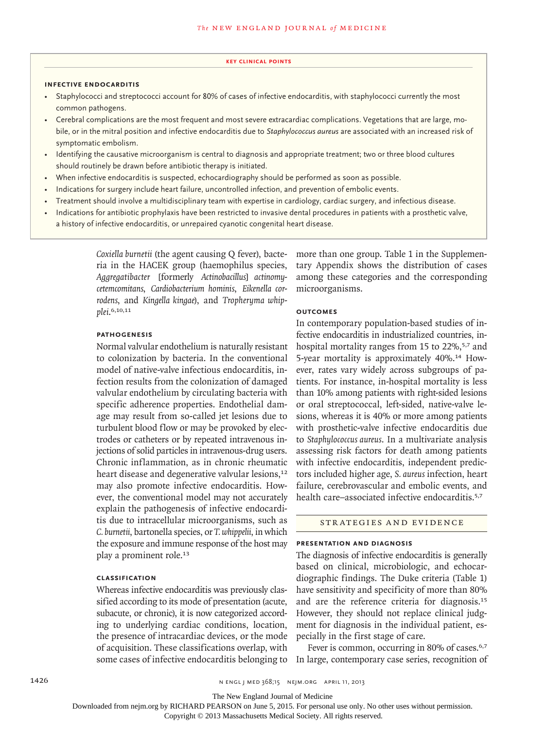#### **key Clinical points**

## **infective endocarditis**

- Staphylococci and streptococci account for 80% of cases of infective endocarditis, with staphylococci currently the most common pathogens.
- Cerebral complications are the most frequent and most severe extracardiac complications. Vegetations that are large, mobile, or in the mitral position and infective endocarditis due to *Staphylococcus aureus* are associated with an increased risk of symptomatic embolism.
- Identifying the causative microorganism is central to diagnosis and appropriate treatment; two or three blood cultures should routinely be drawn before antibiotic therapy is initiated.
- When infective endocarditis is suspected, echocardiography should be performed as soon as possible.
- Indications for surgery include heart failure, uncontrolled infection, and prevention of embolic events.
- Treatment should involve a multidisciplinary team with expertise in cardiology, cardiac surgery, and infectious disease.
- Indications for antibiotic prophylaxis have been restricted to invasive dental procedures in patients with a prosthetic valve, a history of infective endocarditis, or unrepaired cyanotic congenital heart disease.

*Coxiella burnetii* (the agent causing Q fever), bacteria in the HACEK group (haemophilus species, *Aggregatibacter* [formerly *Actinobacillus*] *actinomycetemcomitans*, *Cardiobacterium hominis*, *Eikenella corrodens*, and *Kingella kingae*), and *Tropheryma whipplei*. 6,10,11

# **PATHOGENESIS**

Normal valvular endothelium is naturally resistant to colonization by bacteria. In the conventional model of native-valve infectious endocarditis, infection results from the colonization of damaged valvular endothelium by circulating bacteria with specific adherence properties. Endothelial damage may result from so-called jet lesions due to turbulent blood flow or may be provoked by electrodes or catheters or by repeated intravenous injections of solid particles in intravenous-drug users. Chronic inflammation, as in chronic rheumatic heart disease and degenerative valvular lesions,<sup>12</sup> may also promote infective endocarditis. However, the conventional model may not accurately explain the pathogenesis of infective endocarditis due to intracellular microorganisms, such as *C. burnetii*, bartonella species, or *T. whippelii*, in which the exposure and immune response of the host may play a prominent role.<sup>13</sup>

# **CLASSIFICATION**

Whereas infective endocarditis was previously classified according to its mode of presentation (acute, subacute, or chronic), it is now categorized according to underlying cardiac conditions, location, the presence of intracardiac devices, or the mode of acquisition. These classifications overlap, with some cases of infective endocarditis belonging to

more than one group. Table 1 in the Supplementary Appendix shows the distribution of cases among these categories and the corresponding microorganisms.

### **OUTCOMES**

In contemporary population-based studies of infective endocarditis in industrialized countries, inhospital mortality ranges from 15 to 22%,<sup>5,7</sup> and 5-year mortality is approximately 40%.<sup>14</sup> However, rates vary widely across subgroups of patients. For instance, in-hospital mortality is less than 10% among patients with right-sided lesions or oral streptococcal, left-sided, native-valve lesions, whereas it is 40% or more among patients with prosthetic-valve infective endocarditis due to *Staphylococcus aureus*. In a multivariate analysis assessing risk factors for death among patients with infective endocarditis, independent predictors included higher age, *S. aureus* infection, heart failure, cerebrovascular and embolic events, and health care–associated infective endocarditis.5,7

## STRATEGIES AND EVIDENCE

## **PRESENTATION AND DIAGNOSIS**

The diagnosis of infective endocarditis is generally based on clinical, microbiologic, and echocardiographic findings. The Duke criteria (Table 1) have sensitivity and specificity of more than 80% and are the reference criteria for diagnosis.<sup>15</sup> However, they should not replace clinical judgment for diagnosis in the individual patient, especially in the first stage of care.

Fever is common, occurring in 80% of cases.<sup>6,7</sup> In large, contemporary case series, recognition of

The New England Journal of Medicine

Downloaded from nejm.org by RICHARD PEARSON on June 5, 2015. For personal use only. No other uses without permission.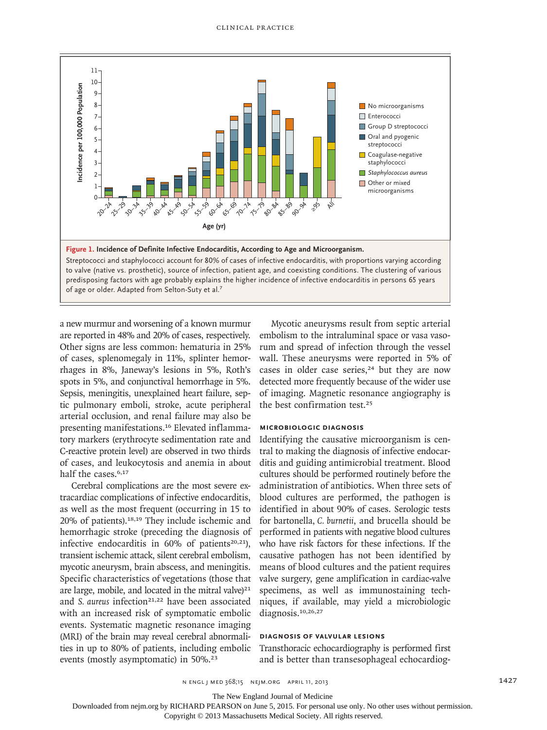

a new murmur and worsening of a known murmur are reported in 48% and 20% of cases, respectively. Other signs are less common: hematuria in 25% of cases, splenomegaly in 11%, splinter hemorrhages in 8%, Janeway's lesions in 5%, Roth's spots in 5%, and conjunctival hemorrhage in 5%. Sepsis, meningitis, unexplained heart failure, septic pulmonary emboli, stroke, acute peripheral arterial occlusion, and renal failure may also be presenting manifestations.16 Elevated inflammatory markers (erythrocyte sedimentation rate and C-reactive protein level) are observed in two thirds of cases, and leukocytosis and anemia in about half the cases.<sup>6,17</sup>

Cerebral complications are the most severe extracardiac complications of infective endocarditis, as well as the most frequent (occurring in 15 to 20% of patients).18,19 They include ischemic and hemorrhagic stroke (preceding the diagnosis of infective endocarditis in  $60\%$  of patients<sup>20,21</sup>), transient ischemic attack, silent cerebral embolism, mycotic aneurysm, brain abscess, and meningitis. Specific characteristics of vegetations (those that are large, mobile, and located in the mitral valve) $21$ and *S. aureus* infection<sup>21,22</sup> have been associated with an increased risk of symptomatic embolic events. Systematic magnetic resonance imaging (MRI) of the brain may reveal cerebral abnormalities in up to 80% of patients, including embolic events (mostly asymptomatic) in 50%.<sup>23</sup>

Mycotic aneurysms result from septic arterial embolism to the intraluminal space or vasa vasorum and spread of infection through the vessel wall. These aneurysms were reported in 5% of cases in older case series,<sup>24</sup> but they are now detected more frequently because of the wider use of imaging. Magnetic resonance angiography is the best confirmation test.<sup>25</sup>

# **MICROBIOLOGIC DIAGNOSIS**

Identifying the causative microorganism is central to making the diagnosis of infective endocarditis and guiding antimicrobial treatment. Blood cultures should be performed routinely before the administration of antibiotics. When three sets of blood cultures are performed, the pathogen is identified in about 90% of cases. Serologic tests for bartonella, *C. burnetii*, and brucella should be performed in patients with negative blood cultures who have risk factors for these infections. If the causative pathogen has not been identified by means of blood cultures and the patient requires valve surgery, gene amplification in cardiac-valve specimens, as well as immunostaining techniques, if available, may yield a microbiologic diagnosis.<sup>10,26,27</sup>

# **DIAGNOSIS OF VALVULAR LESIONS**

Transthoracic echocardiography is performed first and is better than transesophageal echocardiog-

The New England Journal of Medicine

Downloaded from nejm.org by RICHARD PEARSON on June 5, 2015. For personal use only. No other uses without permission.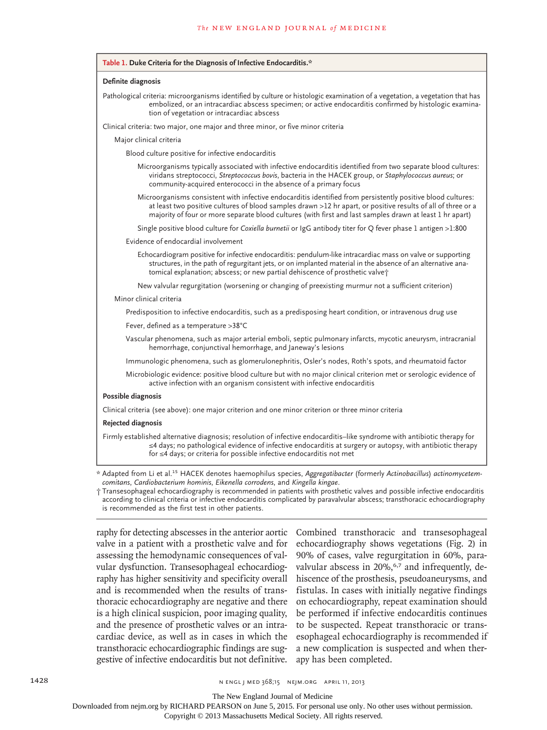#### **Table 1. Duke Criteria for the Diagnosis of Infective Endocarditis.\***

#### **Definite diagnosis**

Pathological criteria: microorganisms identified by culture or histologic examination of a vegetation, a vegetation that has embolized, or an intracardiac abscess specimen; or active endocarditis confirmed by histologic examination of vegetation or intracardiac abscess

Clinical criteria: two major, one major and three minor, or five minor criteria

Major clinical criteria

Blood culture positive for infective endocarditis

Microorganisms typically associated with infective endocarditis identified from two separate blood cultures: viridans streptococci, *Streptococcus bovis*, bacteria in the HACEK group, or *Staphylococcus aureus*; or community-acquired enterococci in the absence of a primary focus

Microorganisms consistent with infective endocarditis identified from persistently positive blood cultures: at least two positive cultures of blood samples drawn >12 hr apart, or positive results of all of three or a majority of four or more separate blood cultures (with first and last samples drawn at least 1 hr apart)

Single positive blood culture for *Coxiella burnetii* or IgG antibody titer for Q fever phase 1 antigen >1:800

Evidence of endocardial involvement

Echocardiogram positive for infective endocarditis: pendulum-like intracardiac mass on valve or supporting structures, in the path of regurgitant jets, or on implanted material in the absence of an alternative anatomical explanation; abscess; or new partial dehiscence of prosthetic valve†

New valvular regurgitation (worsening or changing of preexisting murmur not a sufficient criterion)

#### Minor clinical criteria

Predisposition to infective endocarditis, such as a predisposing heart condition, or intravenous drug use

Fever, defined as a temperature >38°C

Vascular phenomena, such as major arterial emboli, septic pulmonary infarcts, mycotic aneurysm, intracranial hemorrhage, conjunctival hemorrhage, and Janeway's lesions

Immunologic phenomena, such as glomerulonephritis, Osler's nodes, Roth's spots, and rheumatoid factor

Microbiologic evidence: positive blood culture but with no major clinical criterion met or serologic evidence of active infection with an organism consistent with infective endocarditis

## **Possible diagnosis**

Clinical criteria (see above): one major criterion and one minor criterion or three minor criteria

## **Rejected diagnosis**

Firmly established alternative diagnosis; resolution of infective endocarditis–like syndrome with antibiotic therapy for ≤4 days; no pathological evidence of infective endocarditis at surgery or autopsy, with antibiotic therapy for ≤4 days; or criteria for possible infective endocarditis not met

\* Adapted from Li et al.15 HACEK denotes haemophilus species, *Aggregatibacter* (formerly *Actinobacillus*) *actinomycetemcomitans*, *Cardiobacterium hominis*, *Eikenella corrodens*, and *Kingella kingae*.

† Transesophageal echocardiography is recommended in patients with prosthetic valves and possible infective endocarditis according to clinical criteria or infective endocarditis complicated by paravalvular abscess; transthoracic echocardiography is recommended as the first test in other patients.

raphy for detecting abscesses in the anterior aortic valve in a patient with a prosthetic valve and for assessing the hemodynamic consequences of valvular dysfunction. Transesophageal echocardiography has higher sensitivity and specificity overall and is recommended when the results of transthoracic echocardiography are negative and there is a high clinical suspicion, poor imaging quality, and the presence of prosthetic valves or an intracardiac device, as well as in cases in which the transthoracic echocardiographic findings are suggestive of infective endocarditis but not definitive.

Combined transthoracic and transesophageal echocardiography shows vegetations (Fig. 2) in 90% of cases, valve regurgitation in 60%, paravalvular abscess in 20%,<sup>6,7</sup> and infrequently, dehiscence of the prosthesis, pseudoaneurysms, and fistulas. In cases with initially negative findings on echocardiography, repeat examination should be performed if infective endocarditis continues to be suspected. Repeat transthoracic or transesophageal echocardiography is recommended if a new complication is suspected and when therapy has been completed.

The New England Journal of Medicine

Downloaded from nejm.org by RICHARD PEARSON on June 5, 2015. For personal use only. No other uses without permission.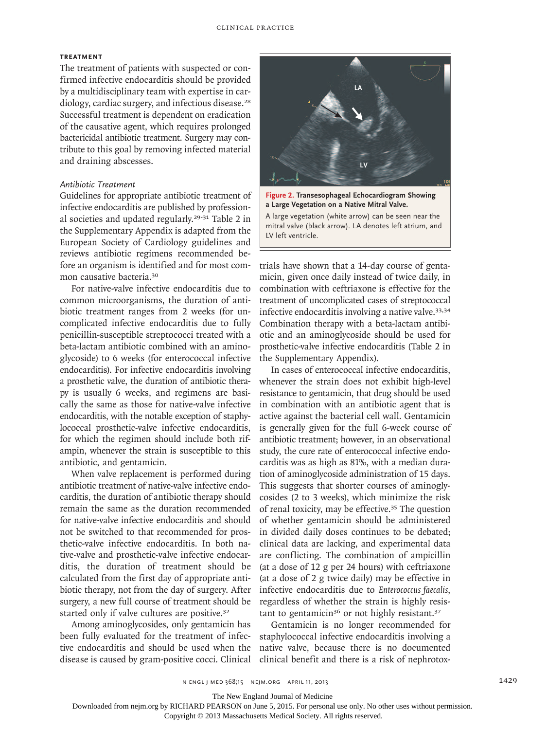## **TREATMENT**

The treatment of patients with suspected or confirmed infective endocarditis should be provided by a multidisciplinary team with expertise in cardiology, cardiac surgery, and infectious disease.<sup>28</sup> Successful treatment is dependent on eradication of the causative agent, which requires prolonged bactericidal antibiotic treatment. Surgery may contribute to this goal by removing infected material and draining abscesses.

# *Antibiotic Treatment*

Guidelines for appropriate antibiotic treatment of infective endocarditis are published by professional societies and updated regularly.<sup>29-31</sup> Table 2 in the Supplementary Appendix is adapted from the European Society of Cardiology guidelines and reviews antibiotic regimens recommended before an organism is identified and for most common causative bacteria.<sup>30</sup>

For native-valve infective endocarditis due to common microorganisms, the duration of antibiotic treatment ranges from 2 weeks (for uncomplicated infective endocarditis due to fully penicillin-susceptible streptococci treated with a beta-lactam antibiotic combined with an aminoglycoside) to 6 weeks (for enterococcal infective endocarditis). For infective endocarditis involving a prosthetic valve, the duration of antibiotic therapy is usually 6 weeks, and regimens are basically the same as those for native-valve infective endocarditis, with the notable exception of staphylococcal prosthetic-valve infective endocarditis, for which the regimen should include both rifampin, whenever the strain is susceptible to this antibiotic, and gentamicin.

When valve replacement is performed during antibiotic treatment of native-valve infective endocarditis, the duration of antibiotic therapy should remain the same as the duration recommended for native-valve infective endocarditis and should not be switched to that recommended for prosthetic-valve infective endocarditis. In both native-valve and prosthetic-valve infective endocarditis, the duration of treatment should be calculated from the first day of appropriate antibiotic therapy, not from the day of surgery. After surgery, a new full course of treatment should be started only if valve cultures are positive.<sup>32</sup>

Among aminoglycosides, only gentamicin has been fully evaluated for the treatment of infective endocarditis and should be used when the disease is caused by gram-positive cocci. Clinical



**Figure 2. Transesophageal Echocardiogram Showing a Large Vegetation on a Native Mitral Valve.** A large vegetation (white arrow) can be seen near the mitral valve (black arrow). LA denotes left atrium, and LV left ventricle.

trials have shown that a 14-day course of gentamicin, given once daily instead of twice daily, in combination with ceftriaxone is effective for the treatment of uncomplicated cases of streptococcal infective endocarditis involving a native valve.<sup>33,34</sup> Combination therapy with a beta-lactam antibiotic and an aminoglycoside should be used for prosthetic-valve infective endocarditis (Table 2 in the Supplementary Appendix).

In cases of enterococcal infective endocarditis, whenever the strain does not exhibit high-level resistance to gentamicin, that drug should be used in combination with an antibiotic agent that is active against the bacterial cell wall. Gentamicin is generally given for the full 6-week course of antibiotic treatment; however, in an observational study, the cure rate of enterococcal infective endocarditis was as high as 81%, with a median duration of aminoglycoside administration of 15 days. This suggests that shorter courses of aminoglycosides (2 to 3 weeks), which minimize the risk of renal toxicity, may be effective.35 The question of whether gentamicin should be administered in divided daily doses continues to be debated; clinical data are lacking, and experimental data are conflicting. The combination of ampicillin (at a dose of 12 g per 24 hours) with ceftriaxone (at a dose of 2 g twice daily) may be effective in infective endocarditis due to *Enterococcus faecalis*, regardless of whether the strain is highly resistant to gentamicin<sup>36</sup> or not highly resistant.<sup>37</sup>

Gentamicin is no longer recommended for staphylococcal infective endocarditis involving a native valve, because there is no documented clinical benefit and there is a risk of nephrotox-

The New England Journal of Medicine

Downloaded from nejm.org by RICHARD PEARSON on June 5, 2015. For personal use only. No other uses without permission.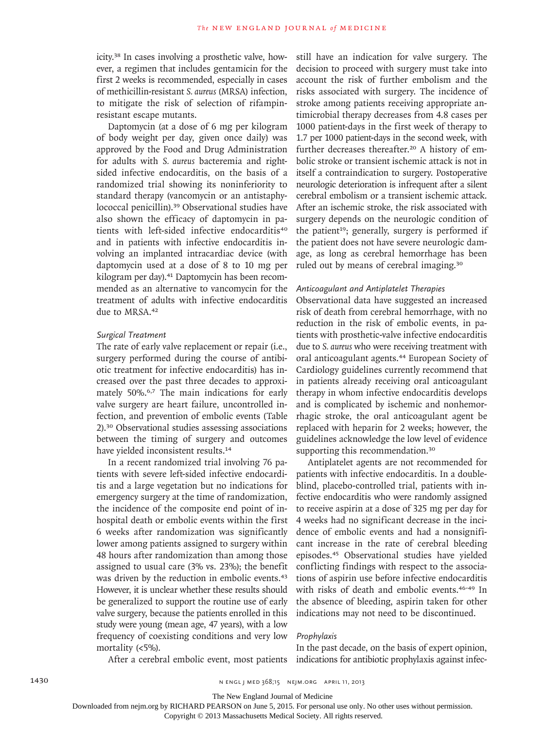icity.38 In cases involving a prosthetic valve, however, a regimen that includes gentamicin for the first 2 weeks is recommended, especially in cases of methicillin-resistant *S. aureus* (MRSA) infection, to mitigate the risk of selection of rifampinresistant escape mutants.

Daptomycin (at a dose of 6 mg per kilogram of body weight per day, given once daily) was approved by the Food and Drug Administration for adults with *S. aureus* bacteremia and rightsided infective endocarditis, on the basis of a randomized trial showing its noninferiority to standard therapy (vancomycin or an antistaphylococcal penicillin).39 Observational studies have also shown the efficacy of daptomycin in patients with left-sided infective endocarditis<sup>40</sup> and in patients with infective endocarditis involving an implanted intracardiac device (with daptomycin used at a dose of 8 to 10 mg per kilogram per day).41 Daptomycin has been recommended as an alternative to vancomycin for the treatment of adults with infective endocarditis due to MRSA.<sup>42</sup>

## *Surgical Treatment*

The rate of early valve replacement or repair (i.e., surgery performed during the course of antibiotic treatment for infective endocarditis) has increased over the past three decades to approximately 50%.6,7 The main indications for early valve surgery are heart failure, uncontrolled infection, and prevention of embolic events (Table 2).30 Observational studies assessing associations between the timing of surgery and outcomes have yielded inconsistent results.<sup>14</sup>

In a recent randomized trial involving 76 patients with severe left-sided infective endocarditis and a large vegetation but no indications for emergency surgery at the time of randomization, the incidence of the composite end point of inhospital death or embolic events within the first 6 weeks after randomization was significantly lower among patients assigned to surgery within 48 hours after randomization than among those assigned to usual care (3% vs. 23%); the benefit was driven by the reduction in embolic events.<sup>43</sup> However, it is unclear whether these results should be generalized to support the routine use of early valve surgery, because the patients enrolled in this study were young (mean age, 47 years), with a low frequency of coexisting conditions and very low mortality (<5%).

still have an indication for valve surgery. The decision to proceed with surgery must take into account the risk of further embolism and the risks associated with surgery. The incidence of stroke among patients receiving appropriate antimicrobial therapy decreases from 4.8 cases per 1000 patient-days in the first week of therapy to 1.7 per 1000 patient-days in the second week, with further decreases thereafter.<sup>20</sup> A history of embolic stroke or transient ischemic attack is not in itself a contraindication to surgery. Postoperative neurologic deterioration is infrequent after a silent cerebral embolism or a transient ischemic attack. After an ischemic stroke, the risk associated with surgery depends on the neurologic condition of the patient<sup>19</sup>; generally, surgery is performed if the patient does not have severe neurologic damage, as long as cerebral hemorrhage has been ruled out by means of cerebral imaging.<sup>30</sup>

## *Anticoagulant and Antiplatelet Therapies*

Observational data have suggested an increased risk of death from cerebral hemorrhage, with no reduction in the risk of embolic events, in patients with prosthetic-valve infective endocarditis due to *S. aureus* who were receiving treatment with oral anticoagulant agents.44 European Society of Cardiology guidelines currently recommend that in patients already receiving oral anticoagulant therapy in whom infective endocarditis develops and is complicated by ischemic and nonhemorrhagic stroke, the oral anticoagulant agent be replaced with heparin for 2 weeks; however, the guidelines acknowledge the low level of evidence supporting this recommendation.<sup>30</sup>

Antiplatelet agents are not recommended for patients with infective endocarditis. In a doubleblind, placebo-controlled trial, patients with infective endocarditis who were randomly assigned to receive aspirin at a dose of 325 mg per day for 4 weeks had no significant decrease in the incidence of embolic events and had a nonsignificant increase in the rate of cerebral bleeding episodes.45 Observational studies have yielded conflicting findings with respect to the associations of aspirin use before infective endocarditis with risks of death and embolic events.<sup>46-49</sup> In the absence of bleeding, aspirin taken for other indications may not need to be discontinued.

## *Prophylaxis*

In the past decade, on the basis of expert opinion, indications for antibiotic prophylaxis against infec-

After a cerebral embolic event, most patients

The New England Journal of Medicine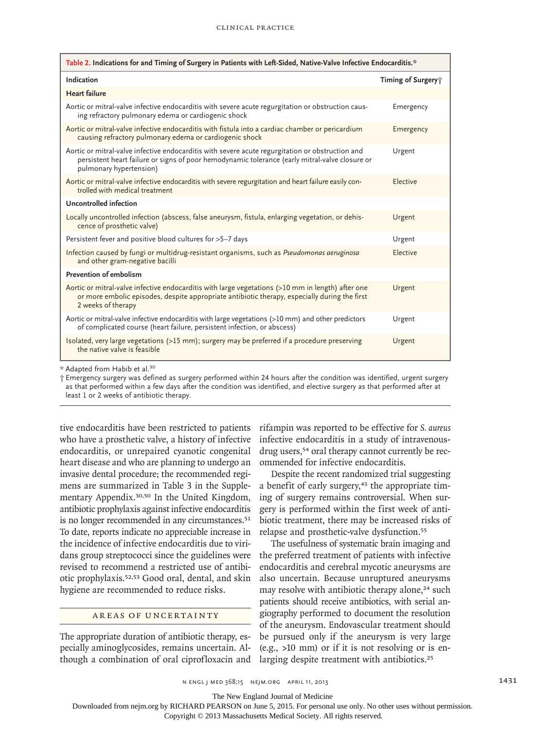| Table 2. Indications for and Timing of Surgery in Patients with Left-Sided, Native-Valve Infective Endocarditis.*                                                                                                             |                    |
|-------------------------------------------------------------------------------------------------------------------------------------------------------------------------------------------------------------------------------|--------------------|
| Indication                                                                                                                                                                                                                    | Timing of Surgery; |
| <b>Heart failure</b>                                                                                                                                                                                                          |                    |
| Aortic or mitral-valve infective endocarditis with severe acute regurgitation or obstruction caus-<br>ing refractory pulmonary edema or cardiogenic shock                                                                     | Emergency          |
| Aortic or mitral-valve infective endocarditis with fistula into a cardiac chamber or pericardium<br>causing refractory pulmonary edema or cardiogenic shock                                                                   | Emergency          |
| Aortic or mitral-valve infective endocarditis with severe acute regurgitation or obstruction and<br>persistent heart failure or signs of poor hemodynamic tolerance (early mitral-valve closure or<br>pulmonary hypertension) | Urgent             |
| Aortic or mitral-valve infective endocarditis with severe regurgitation and heart failure easily con-<br>trolled with medical treatment                                                                                       | Elective           |
| Uncontrolled infection                                                                                                                                                                                                        |                    |
| Locally uncontrolled infection (abscess, false aneurysm, fistula, enlarging vegetation, or dehis-<br>cence of prosthetic valve)                                                                                               | Urgent             |
| Persistent fever and positive blood cultures for >5-7 days                                                                                                                                                                    | Urgent             |
| Infection caused by fungi or multidrug-resistant organisms, such as Pseudomonas aeruginosa<br>and other gram-negative bacilli                                                                                                 | Elective           |
| <b>Prevention of embolism</b>                                                                                                                                                                                                 |                    |
| Aortic or mitral-valve infective endocarditis with large vegetations (>10 mm in length) after one<br>or more embolic episodes, despite appropriate antibiotic therapy, especially during the first<br>2 weeks of therapy      | Urgent             |
| Aortic or mitral-valve infective endocarditis with large vegetations (>10 mm) and other predictors<br>of complicated course (heart failure, persistent infection, or abscess)                                                 | Urgent             |
| Isolated, very large vegetations (>15 mm); surgery may be preferred if a procedure preserving<br>the native valve is feasible                                                                                                 | Urgent             |

\* Adapted from Habib et al.<sup>30</sup>

† Emergency surgery was defined as surgery performed within 24 hours after the condition was identified, urgent surgery as that performed within a few days after the condition was identified, and elective surgery as that performed after at least 1 or 2 weeks of antibiotic therapy.

tive endocarditis have been restricted to patients who have a prosthetic valve, a history of infective endocarditis, or unrepaired cyanotic congenital heart disease and who are planning to undergo an invasive dental procedure; the recommended regimens are summarized in Table 3 in the Supplementary Appendix.30,50 In the United Kingdom, antibiotic prophylaxis against infective endocarditis is no longer recommended in any circumstances.<sup>51</sup> To date, reports indicate no appreciable increase in the incidence of infective endocarditis due to viridans group streptococci since the guidelines were revised to recommend a restricted use of antibiotic prophylaxis.52,53 Good oral, dental, and skin hygiene are recommended to reduce risks.

## AREAS OF UNCERTAINTY

The appropriate duration of antibiotic therapy, especially aminoglycosides, remains uncertain. Although a combination of oral ciprofloxacin and rifampin was reported to be effective for *S. aureus* infective endocarditis in a study of intravenousdrug users,<sup>54</sup> oral therapy cannot currently be recommended for infective endocarditis.

Despite the recent randomized trial suggesting a benefit of early surgery,<sup>43</sup> the appropriate timing of surgery remains controversial. When surgery is performed within the first week of antibiotic treatment, there may be increased risks of relapse and prosthetic-valve dysfunction.<sup>55</sup>

The usefulness of systematic brain imaging and the preferred treatment of patients with infective endocarditis and cerebral mycotic aneurysms are also uncertain. Because unruptured aneurysms may resolve with antibiotic therapy alone,<sup>24</sup> such patients should receive antibiotics, with serial angiography performed to document the resolution of the aneurysm. Endovascular treatment should be pursued only if the aneurysm is very large (e.g., >10 mm) or if it is not resolving or is enlarging despite treatment with antibiotics.<sup>25</sup>

n engl j med 368;15 nejm.org april 11, 2013 1431 1431 1431

The New England Journal of Medicine

Downloaded from nejm.org by RICHARD PEARSON on June 5, 2015. For personal use only. No other uses without permission.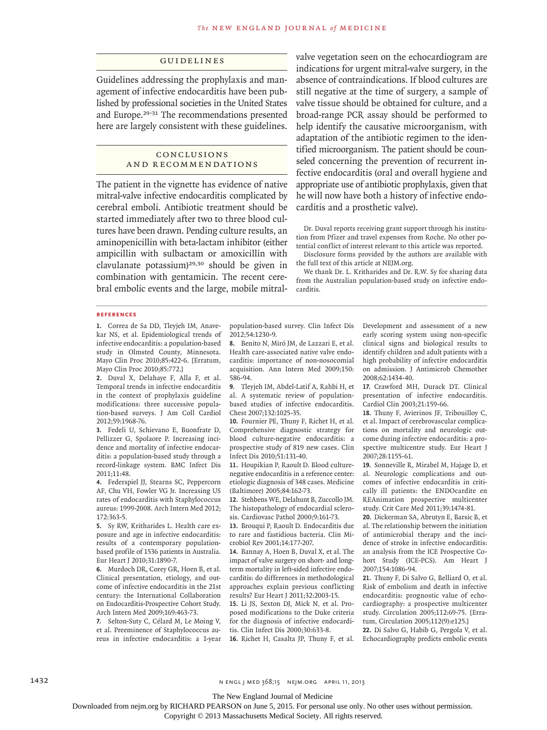# GUIDELINES

Guidelines addressing the prophylaxis and management of infective endocarditis have been published by professional societies in the United States and Europe.29-31 The recommendations presented here are largely consistent with these guidelines.

# CONCLUSIONS A ND R ECOMMENDATIONS

The patient in the vignette has evidence of native mitral-valve infective endocarditis complicated by cerebral emboli. Antibiotic treatment should be started immediately after two to three blood cultures have been drawn. Pending culture results, an aminopenicillin with beta-lactam inhibitor (either ampicillin with sulbactam or amoxicillin with clavulanate potassium $)^{29,30}$  should be given in combination with gentamicin. The recent cerebral embolic events and the large, mobile mitralvalve vegetation seen on the echocardiogram are indications for urgent mitral-valve surgery, in the absence of contraindications. If blood cultures are still negative at the time of surgery, a sample of valve tissue should be obtained for culture, and a broad-range PCR assay should be performed to help identify the causative microorganism, with adaptation of the antibiotic regimen to the identified microorganism. The patient should be counseled concerning the prevention of recurrent infective endocarditis (oral and overall hygiene and appropriate use of antibiotic prophylaxis, given that he will now have both a history of infective endocarditis and a prosthetic valve).

Dr. Duval reports receiving grant support through his institution from Pfizer and travel expenses from Roche. No other potential conflict of interest relevant to this article was reported.

Disclosure forms provided by the authors are available with the full text of this article at NEJM.org.

We thank Dr. L. Kritharides and Dr. R.W. Sy for sharing data from the Australian population-based study on infective endocarditis.

#### **REFERENCES**

**1.** Correa de Sa DD, Tleyjeh IM, Anavekar NS, et al. Epidemiological trends of infective endocarditis: a population-based study in Olmsted County, Minnesota. Mayo Clin Proc 2010;85:422-6. [Erratum, Mayo Clin Proc 2010;85:772.]

**2.** Duval X, Delahaye F, Alla F, et al. Temporal trends in infective endocarditis in the context of prophylaxis guideline modifications: three successive population-based surveys. J Am Coll Cardiol 2012;59:1968-76.

**3.** Fedeli U, Schievano E, Buonfrate D, Pellizzer G, Spolaore P. Increasing incidence and mortality of infective endocarditis: a population-based study through a record-linkage system. BMC Infect Dis 2011;11:48.

**4.** Federspiel JJ, Stearns SC, Peppercorn AF, Chu VH, Fowler VG Jr. Increasing US rates of endocarditis with Staphylococcus aureus: 1999-2008. Arch Intern Med 2012; 172:363-5.

**5.** Sy RW, Kritharides L. Health care exposure and age in infective endocarditis: results of a contemporary populationbased profile of 1536 patients in Australia. Eur Heart J 2010;31:1890-7.

**6.** Murdoch DR, Corey GR, Hoen B, et al. Clinical presentation, etiology, and outcome of infective endocarditis in the 21st century: the International Collaboration on Endocarditis-Prospective Cohort Study. Arch Intern Med 2009;169:463-73.

**7.** Selton-Suty C, Célard M, Le Moing V, et al. Preeminence of Staphylococcus aureus in infective endocarditis: a 1-year

population-based survey. Clin Infect Dis 2012;54:1230-9.

**8.** Benito N, Miró JM, de Lazzari E, et al. Health care-associated native valve endocarditis: importance of non-nosocomial acquisition. Ann Intern Med 2009;150: 586-94.

**9.** Tleyjeh IM, Abdel-Latif A, Rahbi H, et al. A systematic review of populationbased studies of infective endocarditis. Chest 2007-132-1025-35.

**10.** Fournier PE, Thuny F, Richet H, et al. Comprehensive diagnostic strategy for blood culture-negative endocarditis: a prospective study of 819 new cases. Clin Infect Dis 2010;51:131-40.

**11.** Houpikian P, Raoult D. Blood culturenegative endocarditis in a reference center: etiologic diagnosis of 348 cases. Medicine (Baltimore) 2005;84:162-73.

**12.** Stehbens WE, Delahunt B, Zuccollo JM. The histopathology of endocardial sclerosis. Cardiovasc Pathol 2000;9:161-73.

**13.** Brouqui P, Raoult D. Endocarditis due to rare and fastidious bacteria. Clin Microbiol Rev 2001;14:177-207.

**14.** Bannay A, Hoen B, Duval X, et al. The impact of valve surgery on short- and longterm mortality in left-sided infective endocarditis: do differences in methodological approaches explain previous conflicting results? Eur Heart J 2011;32:2003-15.

**15.** Li JS, Sexton DJ, Mick N, et al. Proposed modifications to the Duke criteria for the diagnosis of infective endocarditis. Clin Infect Dis 2000;30:633-8.

**16.** Richet H, Casalta JP, Thuny F, et al.

Development and assessment of a new early scoring system using non-specific clinical signs and biological results to identify children and adult patients with a high probability of infective endocarditis on admission. J Antimicrob Chemother 2008;62:1434-40.

**17.** Crawford MH, Durack DT. Clinical presentation of infective endocarditis. Cardiol Clin 2003;21:159-66.

**18.** Thuny F, Avierinos JF, Tribouilloy C, et al. Impact of cerebrovascular complications on mortality and neurologic outcome during infective endocarditis: a prospective multicentre study. Eur Heart J 2007;28:1155-61.

**19.** Sonneville R, Mirabel M, Hajage D, et al. Neurologic complications and outcomes of infective endocarditis in critically ill patients: the ENDOcardite en REAnimation prospective multicenter study. Crit Care Med 2011;39:1474-81.

**20.** Dickerman SA, Abrutyn E, Barsic B, et al. The relationship between the initiation of antimicrobial therapy and the incidence of stroke in infective endocarditis: an analysis from the ICE Prospective Cohort Study (ICE-PCS). Am Heart J 2007;154:1086-94.

**21.** Thuny F, Di Salvo G, Belliard O, et al. Risk of embolism and death in infective endocarditis: prognostic value of echocardiography: a prospective multicenter study. Circulation 2005;112:69-75. [Erratum, Circulation 2005;112(9):e125.]

**22.** Di Salvo G, Habib G, Pergola V, et al. Echocardiography predicts embolic events

1432 **n engl j med 368;15 nejm.org application** in the 368;15 nejm.org april 11, 2013

The New England Journal of Medicine

Downloaded from nejm.org by RICHARD PEARSON on June 5, 2015. For personal use only. No other uses without permission.